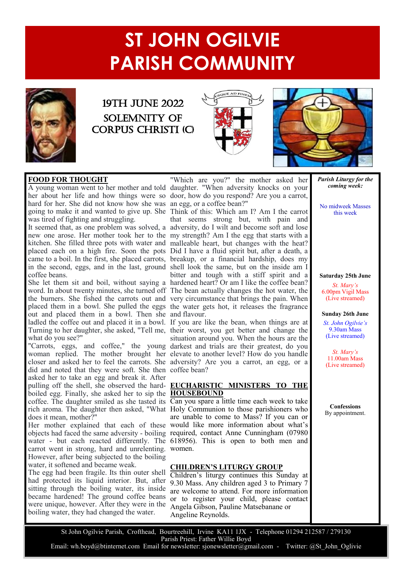# **ST JOHN OGILVIE PARISH COMMUNITY**



## 19TH JUNE 2022 Solemnity of corpus Christi (c)





### **FOOD FOR THOUGHT FOOD FOR THOUGHT**

hard for her. She did not know how she was an egg, or a coffee bean?" had for her. She did not know how she was an egg, or a correct sean.<br>going to make it and wanted to give up. She Think of this: Which am I? Am I the carrot was tired of fighting and struggling.

The one who had been slapped  $\sum_{n=1}^{\infty}$ coffee beans.

part of them in a bowl. Then she and flavour. ladled the coffee out and placed it in a bowl. If you are like the bean, when things are at what do you see?"

'Carrots, eggs, and coff woman replied. The mother brought her did and noted that they were soft. She then coffee bean? asked her to take an egg and break it. After<br>aulting off the shell, she observed the herd. FHCHADISTIC, MINISTEDS, TO putting off the shelt, she observed the hata-<br>boiled egg. Finally, she asked her to sip the **HOUSEBOUND** boned egg. I many, she asked her to sip the **HOUSEBOUTAB**<br>coffee. The daughter smiled as she tasted its Can you spare a little time each week to take  $does it mean, mother?"$ pulling off the shell, she observed the hard-**EUCHARISTIC MINISTERS TO THE**<br>holled eag Finally, she asked her to sin the **HOUSEROUND** "Carrots, eggs, and coffee," the young woman replied. The mother brought her asked her to take an egg and break it. After

carrot went in strong, hard and unrelenting. women. However, after being subjected to the boiling water, it softened and became weak.

**FORGIVE ME** The egg had been fragile. Its thin outer shell had protected its liquid interior. But, after sitting through the boiling water, its inside became hardened! The ground coffee beans were unique, however. After they were in the boiling water, they had changed the water.

A young woman went to her mother and told daughter. When adversity knocks on your<br>her about her life and how things were so door, how do you respond? Are you a carrot, "Which are you?" the mother asked her A young woman went to her mother and told daughter. "When adversity knocks on your

was ured of fignting and struggling.<br>It seemed that, as one problem was solved, a adversity, do I wilt and become soft and lose It seemed that, as one problem was solved, a adversity, do I will all become soft and lose new one arose. Her mother took her to the my strength? Am I the egg that starts with a hew one arose. Her momer took her to the my sitengui: Am I the egg that starts with a kitchen. She filled three pots with water and malleable heart, but changes with the heat? mented in one interest in our order and mathematic heart, our entirges which the heat.<br>placed each on a high fire. Soon the pots Did I have a fluid spirit but, after a death, a Finited the came to a boil. In the first, she placed carrots, breakup, or a financial hardship, does my in the second, eggs, and in the last, ground shell look the same, but on the inside am I She fet them sit and bon, wholou saying a hardened heart? Or am I like the corree bean?<br>word. In about twenty minutes, she turned off The bean actually changes the hot water, the word. In about twenty influtes, she turned off The bean actually changes the not water, the the burners. She fished the carrots out and very circumstance that brings the pain. When the burners. She histor are carrots out and very encannousled that orings are pain. When placed them in a bowl. She pulled the eggs the water gets hot, it releases the fragrance bitter and tough with a stiff spirit and a She let them sit and boil, without saying a hardened heart? Or am I like the coffee bean? that seems strong but, with pain and

Turning to her daughter, she asked, "Tell me, their worst, you get better and change the closer and asked her to feel the carrots. She adversity? Are you a carrot, an egg, or a Forgive me, Then the hours are the<br>darkest and trials are their greatest, do you From the Text of the Text of Servert, situation around you. When the hours are the darkest and trials are their greatest, do you elevate to another level? How do you handle

evillet. The daughter shinted as she tasted his can jou spare a note that were to take Her mother explained that each of these would like more information about what's objects had faced the same adversity - boiling required, contact Anne Cunningham (07980) are unable to come to Mass? If you can or water - but each reacted differently. The 618956). This is open to both men and  $W$ onich.

### captives freezes And help me to do likewise – As You **CHILDREN'S LITURGY GROUP**

Enharen s inurgy continues this Sunday at 9.30 Mass. Any children aged 3 to Primary 7 Children's liturgy continues this Sunday at are welcome to attend. For more information or to register your child, please contact Angela Gibson, Pauline Matsebanane or Angeline Reynolds.

*Parish Liturgy for the coming week:*

No midweek Masses this week

**Saturday 25th June** *St. Mary's* 6.00pm Vigil Mass (Live streamed)

### **Sunday 26th June**

*St. John Ogilvie's* 9.30am Mass (Live streamed)

*St. Mary's* 11.00am Mass (Live streamed)

**Confessions** By appointment.

St John Ogilvie Parish, Crofthead, Bourtreehill, Irvine KA11 1JX - Telephone 01294 212587 / 279130 Parish Priest: Father Willie Boyd Email: wh.boyd@btinternet.com Email for newsletter: sjonewsletter@gmail.com - Twitter: @St John Oglivie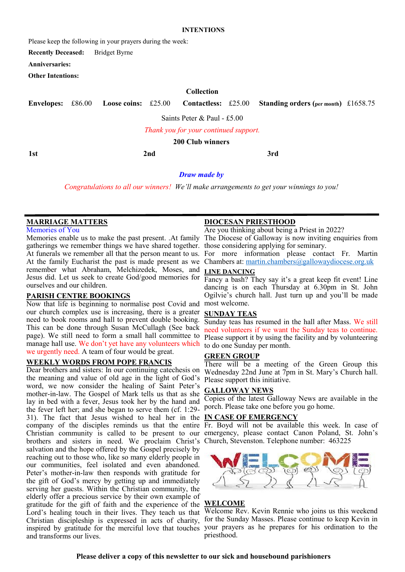### **INTENTIONS**

Please keep the following in your prayers during the week:

**Recently Deceased:** Bridget Byrne

**Anniversaries:**

**Other Intentions:**

### **Collection**

|                                       |  |  |  |                         |  | Envelopes: £86.00 Loose coins: £25.00 Contactless: £25.00 Standing orders (per month) £1658.75 |  |  |
|---------------------------------------|--|--|--|-------------------------|--|------------------------------------------------------------------------------------------------|--|--|
| Saints Peter & Paul - £5.00           |  |  |  |                         |  |                                                                                                |  |  |
| Thank you for your continued support. |  |  |  |                         |  |                                                                                                |  |  |
|                                       |  |  |  | <b>200 Club winners</b> |  |                                                                                                |  |  |

**1st 2nd 3rd**

*Draw made by* 

*Congratulations to all our winners! We'll make arrangements to get your winnings to you!*

### **MARRIAGE MATTERS**

Memories of You

gatherings we remember things we have shared together. those considering applying for seminary. At funerals we remember all that the person meant to us. For more information please contact Fr. Martin At the family Eucharist the past is made present as we Chambers at: [martin.chambers@gallowaydiocese.org.uk](mailto:martin.chambers@gallowaydiocese.org.uk) remember what Abraham, Melchizedek, Moses, and Jesus did. Let us seek to create God/good memories for  $\frac{1}{\text{Fancy a bash}}$ ? They say it's a great keep fit event! Line ourselves and our children.

### **PARISH CENTRE BOOKINGS**

Now that life is beginning to normalise post Covid and most welcome. our church complex use is increasing, there is a greater need to book rooms and hall to prevent double booking. This can be done through Susan McCullagh (See back page). We still need to form a small hall committee to manage hall use. We don't yet have any volunteers which we urgently need. A team of four would be great.

### **WEEKLY WORDS FROM POPE FRANCIS**

Dear brothers and sisters: In our continuing catechesis on Wednesday 22nd June at 7pm in St. Mary's Church hall. the meaning and value of old age in the light of God's Please support this initiative. word, we now consider the healing of Saint Peter's mother-in-law. The Gospel of Mark tells us that as she lay in bed with a fever, Jesus took her by the hand and the fever left her; and she began to serve them (cf. 1:29- porch. Please take one before you go home. 31). The fact that Jesus wished to heal her in the **IN CASE OF EMERGENCY** company of the disciples reminds us that the entire Fr. Boyd will not be available this week. In case of Christian community is called to be present to our emergency, please contact Canon Poland, St. John's brothers and sisters in need. We proclaim Christ's Church, Stevenston. Telephone number: 463225 salvation and the hope offered by the Gospel precisely by reaching out to those who, like so many elderly people in our communities, feel isolated and even abandoned. Peter's mother-in-law then responds with gratitude for the gift of God's mercy by getting up and immediately serving her guests. Within the Christian community, the elderly offer a precious service by their own example of gratitude for the gift of faith and the experience of the Lord's healing touch in their lives. They teach us that Christian discipleship is expressed in acts of charity, inspired by gratitude for the merciful love that touches your prayers as he prepares for his ordination to the and transforms our lives.

### **DIOCESAN PRIESTHOOD**

Memories enable us to make the past present. .At family The Diocese of Galloway is now inviting enquiries from Are you thinking about being a Priest in 2022?

### **LINE DANCING**

dancing is on each Thursday at 6.30pm in St. John Ogilvie's church hall. Just turn up and you'll be made

### **SUNDAY TEAS**

Sunday teas has resumed in the hall after Mass. We still need volunteers if we want the Sunday teas to continue. Please support it by using the facility and by volunteering to do one Sunday per month.

### **GREEN GROUP**

There will be a meeting of the Green Group this

### **GALLOWAY NEWS**

Copies of the latest Galloway News are available in the



### **WELCOME**

Welcome Rev. Kevin Rennie who joins us this weekend for the Sunday Masses. Please continue to keep Kevin in priesthood.

### **Please deliver a copy of this newsletter to our sick and housebound parishioners**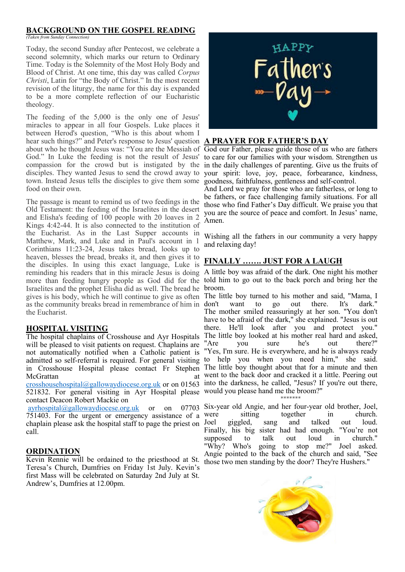### **BACKGROUND ON THE GOSPEL READING**

*(Taken from Sunday Connection)*

Today, the second Sunday after Pentecost, we celebrate a second solemnity, which marks our return to Ordinary Time. Today is the Solemnity of the Most Holy Body and Blood of Christ. At one time, this day was called *Corpus Christi*, Latin for "the Body of Christ." In the most recent revision of the liturgy, the name for this day is expanded to be a more complete reflection of our Eucharistic theology.

The feeding of the 5,000 is the only one of Jesus' miracles to appear in all four Gospels. Luke places it between Herod's question, "Who is this about whom I hear such things?" and Peter's response to Jesus' question **A PRAYER FOR FATHER'S DAY** about who he thought Jesus was: "You are the Messiah of God our Father, please guide those of us who are fathers God." In Luke the feeding is not the result of Jesus' compassion for the crowd but is instigated by the in the daily challenges of parenting. Give us the fruits of disciples. They wanted Jesus to send the crowd away to town. Instead Jesus tells the disciples to give them some goodness, faithfulness, gentleness and self-control. food on their own.

The passage is meant to remind us of two feedings in the Old Testament: the feeding of the Israelites in the desert and Elisha's feeding of 100 people with 20 loaves in 2 Kings 4:42-44. It is also connected to the institution of the Eucharist. As in the Last Supper accounts in Matthew, Mark, and Luke and in Paul's account in 1 Corinthians 11:23-24, Jesus takes bread, looks up to heaven, blesses the bread, breaks it, and then gives it to the disciples. In using this exact language, Luke is reminding his readers that in this miracle Jesus is doing A little boy was afraid of the dark. One night his mother more than feeding hungry people as God did for the told him to go out to the back porch and bring her the Israelites and the prophet Elisha did as well. The bread he broom. gives is his body, which he will continue to give as often The little boy turned to his mother and said, "Mama, I as the community breaks bread in remembrance of him in the Eucharist.

### **HOSPITAL VISITING**

The hospital chaplains of Crosshouse and Ayr Hospitals will be pleased to visit patients on request. Chaplains are not automatically notified when a Catholic patient is admitted so self-referral is required. For general visiting to help you when you need him," she said. in Crosshouse Hospital please contact Fr Stephen The little boy thought about that for a minute and then McGrattan at a state of the state at a state of the state at a state at a state at a state at a state at a state  $\alpha$ 

521832. For general visiting in Ayr Hospital please would you please hand me the broom?" contact Deacon Robert Mackie on

751403. For the urgent or emergency assistance of a chaplain please ask the hospital staff to page the priest on Joel call.

### **ORDINATION**

Kevin Rennie will be ordained to the priesthood at St. Teresa's Church, Dumfries on Friday 1st July. Kevin's first Mass will be celebrated on Saturday 2nd July at St. Andrew's, Dumfries at 12.00pm.



to care for our families with your wisdom. Strengthen us your spirit: love, joy, peace, forbearance, kindness,

And Lord we pray for those who are fatherless, or long to be fathers, or face challenging family situations. For all those who find Father's Day difficult. We praise you that you are the source of peace and comfort. In Jesus' name, Amen.

Wishing all the fathers in our community a very happy and relaxing day!

### **FINALLY ……. JUST FOR A LAUGH**

[crosshousehospital@gallowaydiocese.org.uk](mailto:crosshousehospital@gallowaydiocese.org.uk) or on 01563 into the darkness, he called, "Jesus? If you're out there, want to go out there. It's dark." The mother smiled reassuringly at her son. "You don't have to be afraid of the dark," she explained. "Jesus is out there. He'll look after you and protect you." The little boy looked at his mother real hard and asked, "Are you sure he's out there?" "Yes, I'm sure. He is everywhere, and he is always ready went to the back door and cracked it a little. Peering out

\*\*\*\*\*\*\*

[ayrhospital@gallowaydiocese.org.uk](mailto:ayrhospital@gallowaydiocese.org.uk) or on 07703 Six-year old Angie, and her four-year old brother, Joel, were sitting together in church. giggled, sang and talked out loud. Finally, his big sister had had enough. "You're not supposed to talk out loud in church." "Why? Who's going to stop me?" Joel asked. Angie pointed to the back of the church and said, "See those two men standing by the door? They're Hushers."